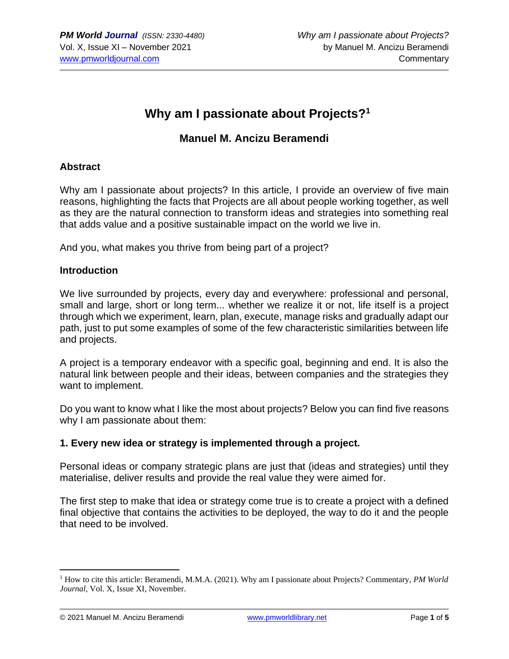# **Why am I passionate about Projects?<sup>1</sup>**

### **Manuel M. Ancizu Beramendi**

#### **Abstract**

Why am I passionate about projects? In this article, I provide an overview of five main reasons, highlighting the facts that Projects are all about people working together, as well as they are the natural connection to transform ideas and strategies into something real that adds value and a positive sustainable impact on the world we live in.

And you, what makes you thrive from being part of a project?

#### **Introduction**

We live surrounded by projects, every day and everywhere: professional and personal, small and large, short or long term... whether we realize it or not, life itself is a project through which we experiment, learn, plan, execute, manage risks and gradually adapt our path, just to put some examples of some of the few characteristic similarities between life and projects.

A project is a temporary endeavor with a specific goal, beginning and end. It is also the natural link between people and their ideas, between companies and the strategies they want to implement.

Do you want to know what I like the most about projects? Below you can find five reasons why I am passionate about them:

### **1. Every new idea or strategy is implemented through a project.**

Personal ideas or company strategic plans are just that (ideas and strategies) until they materialise, deliver results and provide the real value they were aimed for.

The first step to make that idea or strategy come true is to create a project with a defined final objective that contains the activities to be deployed, the way to do it and the people that need to be involved.

<sup>1</sup> How to cite this article: Beramendi, M.M.A. (2021). Why am I passionate about Projects? Commentary, *PM World Journal*, Vol. X, Issue XI, November.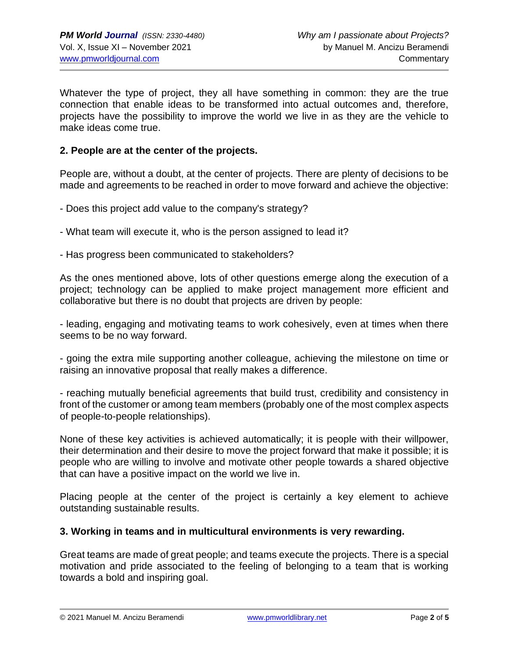Whatever the type of project, they all have something in common: they are the true connection that enable ideas to be transformed into actual outcomes and, therefore, projects have the possibility to improve the world we live in as they are the vehicle to make ideas come true.

#### **2. People are at the center of the projects.**

People are, without a doubt, at the center of projects. There are plenty of decisions to be made and agreements to be reached in order to move forward and achieve the objective:

- Does this project add value to the company's strategy?
- What team will execute it, who is the person assigned to lead it?
- Has progress been communicated to stakeholders?

As the ones mentioned above, lots of other questions emerge along the execution of a project; technology can be applied to make project management more efficient and collaborative but there is no doubt that projects are driven by people:

- leading, engaging and motivating teams to work cohesively, even at times when there seems to be no way forward.

- going the extra mile supporting another colleague, achieving the milestone on time or raising an innovative proposal that really makes a difference.

- reaching mutually beneficial agreements that build trust, credibility and consistency in front of the customer or among team members (probably one of the most complex aspects of people-to-people relationships).

None of these key activities is achieved automatically; it is people with their willpower, their determination and their desire to move the project forward that make it possible; it is people who are willing to involve and motivate other people towards a shared objective that can have a positive impact on the world we live in.

Placing people at the center of the project is certainly a key element to achieve outstanding sustainable results.

#### **3. Working in teams and in multicultural environments is very rewarding.**

Great teams are made of great people; and teams execute the projects. There is a special motivation and pride associated to the feeling of belonging to a team that is working towards a bold and inspiring goal.

© 2021 Manuel M. Ancizu Beramendi [www.pmworldlibrary.net](http://www.pmworldlibrary.net/) Page **2** of **5**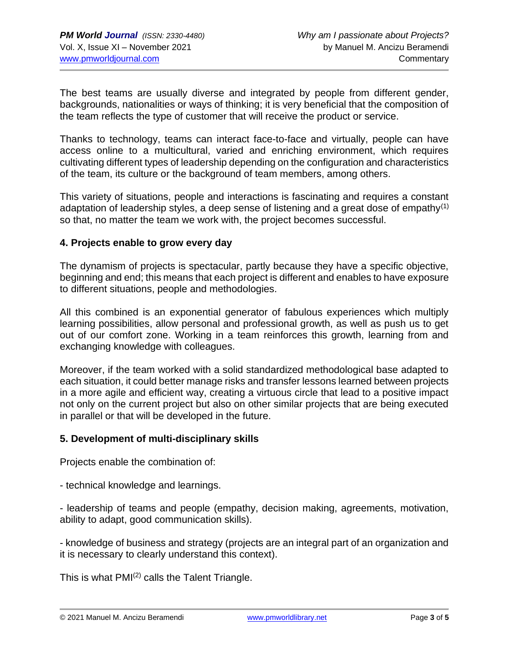The best teams are usually diverse and integrated by people from different gender, backgrounds, nationalities or ways of thinking; it is very beneficial that the composition of the team reflects the type of customer that will receive the product or service.

Thanks to technology, teams can interact face-to-face and virtually, people can have access online to a multicultural, varied and enriching environment, which requires cultivating different types of leadership depending on the configuration and characteristics of the team, its culture or the background of team members, among others.

This variety of situations, people and interactions is fascinating and requires a constant adaptation of leadership styles, a deep sense of listening and a great dose of empathy<sup>(1)</sup> so that, no matter the team we work with, the project becomes successful.

#### **4. Projects enable to grow every day**

The dynamism of projects is spectacular, partly because they have a specific objective, beginning and end; this means that each project is different and enables to have exposure to different situations, people and methodologies.

All this combined is an exponential generator of fabulous experiences which multiply learning possibilities, allow personal and professional growth, as well as push us to get out of our comfort zone. Working in a team reinforces this growth, learning from and exchanging knowledge with colleagues.

Moreover, if the team worked with a solid standardized methodological base adapted to each situation, it could better manage risks and transfer lessons learned between projects in a more agile and efficient way, creating a virtuous circle that lead to a positive impact not only on the current project but also on other similar projects that are being executed in parallel or that will be developed in the future.

#### **5. Development of multi-disciplinary skills**

Projects enable the combination of:

- technical knowledge and learnings.

- leadership of teams and people (empathy, decision making, agreements, motivation, ability to adapt, good communication skills).

- knowledge of business and strategy (projects are an integral part of an organization and it is necessary to clearly understand this context).

This is what  $PMI^{(2)}$  calls the Talent Triangle.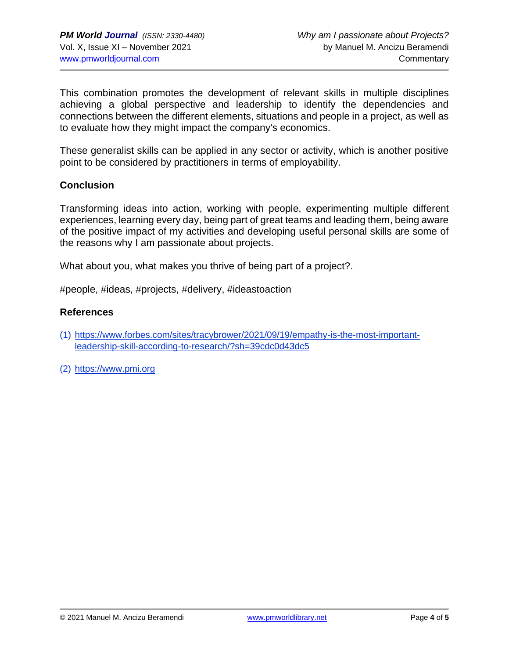This combination promotes the development of relevant skills in multiple disciplines achieving a global perspective and leadership to identify the dependencies and connections between the different elements, situations and people in a project, as well as to evaluate how they might impact the company's economics.

These generalist skills can be applied in any sector or activity, which is another positive point to be considered by practitioners in terms of employability.

#### **Conclusion**

Transforming ideas into action, working with people, experimenting multiple different experiences, learning every day, being part of great teams and leading them, being aware of the positive impact of my activities and developing useful personal skills are some of the reasons why I am passionate about projects.

What about you, what makes you thrive of being part of a project?.

#people, #ideas, #projects, #delivery, #ideastoaction

#### **References**

- (1) [https://www.forbes.com/sites/tracybrower/2021/09/19/empathy-is-the-most-important](https://www.forbes.com/sites/tracybrower/2021/09/19/empathy-is-the-most-important-leadership-skill-according-to-research/?sh=39cdc0d43dc5)[leadership-skill-according-to-research/?sh=39cdc0d43dc5](https://www.forbes.com/sites/tracybrower/2021/09/19/empathy-is-the-most-important-leadership-skill-according-to-research/?sh=39cdc0d43dc5)
- (2) [https://www.pmi.org](https://www.pmi.org/)